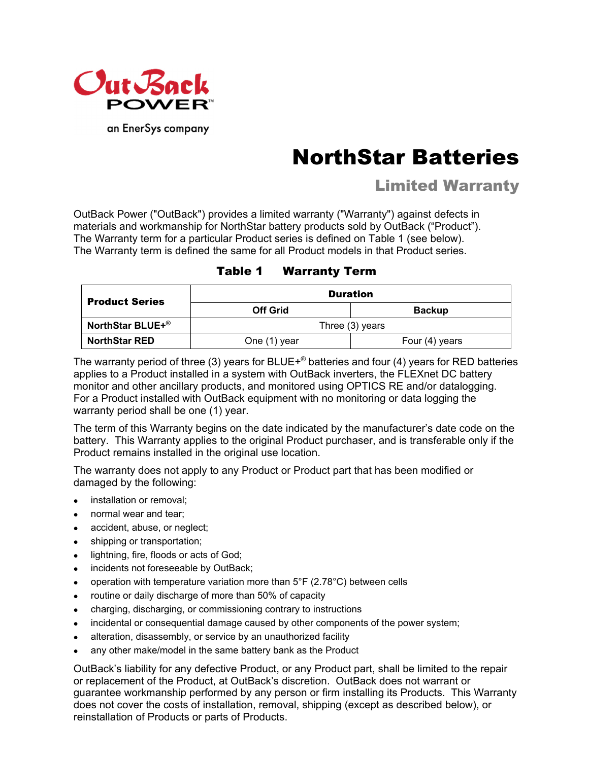

an EnerSys company

# NorthStar Batteries

# Limited Warranty

OutBack Power ("OutBack") provides a limited warranty ("Warranty") against defects in materials and workmanship for NorthStar battery products sold by OutBack ("Product"). The Warranty term for a particular Product series is defined on Table 1 (see below). The Warranty term is defined the same for all Product models in that Product series.

| Table 1 | <b>Warranty Term</b> |
|---------|----------------------|
|---------|----------------------|

| <b>Product Series</b>        | <b>Duration</b>   |                |  |
|------------------------------|-------------------|----------------|--|
|                              | <b>Off Grid</b>   | <b>Backup</b>  |  |
| NorthStar BLUE+ <sup>®</sup> | Three $(3)$ years |                |  |
| <b>NorthStar RED</b>         | One (1) year      | Four (4) years |  |

The warranty period of three (3) years for BLUE+® batteries and four (4) years for RED batteries applies to a Product installed in a system with OutBack inverters, the FLEXnet DC battery monitor and other ancillary products, and monitored using OPTICS RE and/or datalogging. For a Product installed with OutBack equipment with no monitoring or data logging the warranty period shall be one (1) year.

The term of this Warranty begins on the date indicated by the manufacturer's date code on the battery. This Warranty applies to the original Product purchaser, and is transferable only if the Product remains installed in the original use location.

The warranty does not apply to any Product or Product part that has been modified or damaged by the following:

- installation or removal:
- normal wear and tear;
- accident, abuse, or neglect;
- shipping or transportation;
- **.** lightning, fire, floods or acts of God;
- incidents not foreseeable by OutBack;
- operation with temperature variation more than  $5^{\circ}F$  (2.78 $^{\circ}C$ ) between cells
- routine or daily discharge of more than 50% of capacity
- charging, discharging, or commissioning contrary to instructions
- incidental or consequential damage caused by other components of the power system;
- alteration, disassembly, or service by an unauthorized facility
- any other make/model in the same battery bank as the Product

OutBack's liability for any defective Product, or any Product part, shall be limited to the repair or replacement of the Product, at OutBack's discretion. OutBack does not warrant or guarantee workmanship performed by any person or firm installing its Products. This Warranty does not cover the costs of installation, removal, shipping (except as described below), or reinstallation of Products or parts of Products.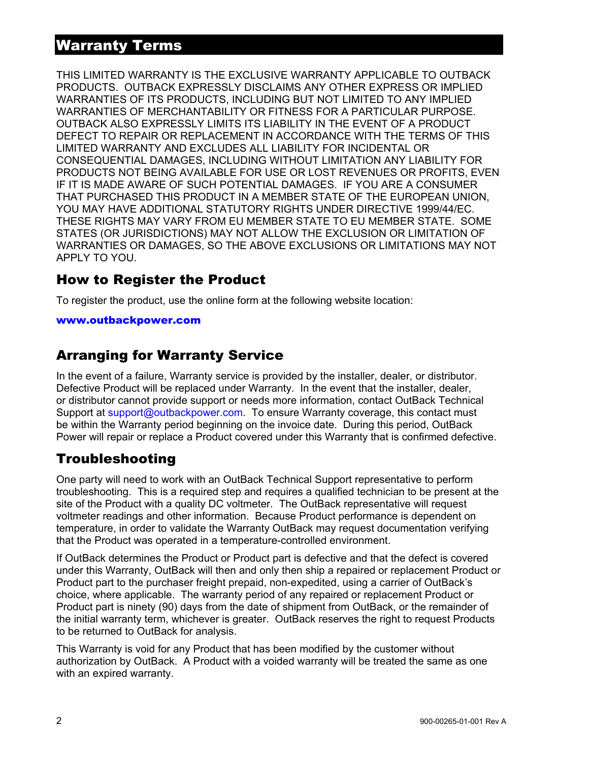## Warranty Terms

THIS LIMITED WARRANTY IS THE EXCLUSIVE WARRANTY APPLICABLE TO OUTBACK PRODUCTS. OUTBACK EXPRESSLY DISCLAIMS ANY OTHER EXPRESS OR IMPLIED WARRANTIES OF ITS PRODUCTS, INCLUDING BUT NOT LIMITED TO ANY IMPLIED WARRANTIES OF MERCHANTABILITY OR FITNESS FOR A PARTICULAR PURPOSE. OUTBACK ALSO EXPRESSLY LIMITS ITS LIABILITY IN THE EVENT OF A PRODUCT DEFECT TO REPAIR OR REPLACEMENT IN ACCORDANCE WITH THE TERMS OF THIS LIMITED WARRANTY AND EXCLUDES ALL LIABILITY FOR INCIDENTAL OR CONSEQUENTIAL DAMAGES, INCLUDING WITHOUT LIMITATION ANY LIABILITY FOR PRODUCTS NOT BEING AVAILABLE FOR USE OR LOST REVENUES OR PROFITS, EVEN IF IT IS MADE AWARE OF SUCH POTENTIAL DAMAGES. IF YOU ARE A CONSUMER THAT PURCHASED THIS PRODUCT IN A MEMBER STATE OF THE EUROPEAN UNION, YOU MAY HAVE ADDITIONAL STATUTORY RIGHTS UNDER DIRECTIVE 1999/44/EC. THESE RIGHTS MAY VARY FROM EU MEMBER STATE TO EU MEMBER STATE. SOME STATES (OR JURISDICTIONS) MAY NOT ALLOW THE EXCLUSION OR LIMITATION OF WARRANTIES OR DAMAGES, SO THE ABOVE EXCLUSIONS OR LIMITATIONS MAY NOT APPLY TO YOU.

## How to Register the Product

To register the product, use the online form at the following website location:

#### www.outbackpower.com

## Arranging for Warranty Service

In the event of a failure, Warranty service is provided by the installer, dealer, or distributor. Defective Product will be replaced under Warranty. In the event that the installer, dealer, or distributor cannot provide support or needs more information, contact OutBack Technical Support at support@outbackpower.com. To ensure Warranty coverage, this contact must be within the Warranty period beginning on the invoice date. During this period, OutBack Power will repair or replace a Product covered under this Warranty that is confirmed defective.

## Troubleshooting

One party will need to work with an OutBack Technical Support representative to perform troubleshooting. This is a required step and requires a qualified technician to be present at the site of the Product with a quality DC voltmeter. The OutBack representative will request voltmeter readings and other information. Because Product performance is dependent on temperature, in order to validate the Warranty OutBack may request documentation verifying that the Product was operated in a temperature-controlled environment.

If OutBack determines the Product or Product part is defective and that the defect is covered under this Warranty, OutBack will then and only then ship a repaired or replacement Product or Product part to the purchaser freight prepaid, non-expedited, using a carrier of OutBack's choice, where applicable. The warranty period of any repaired or replacement Product or Product part is ninety (90) days from the date of shipment from OutBack, or the remainder of the initial warranty term, whichever is greater. OutBack reserves the right to request Products to be returned to OutBack for analysis.

This Warranty is void for any Product that has been modified by the customer without authorization by OutBack. A Product with a voided warranty will be treated the same as one with an expired warranty.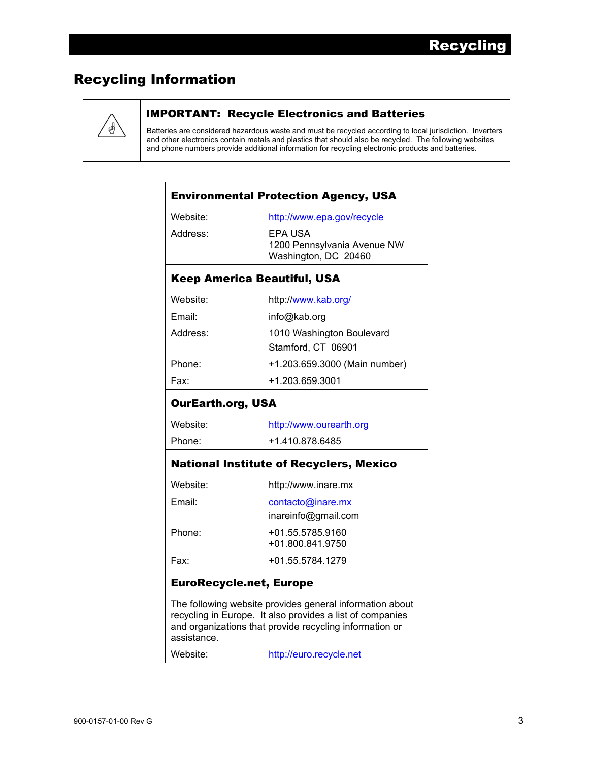# Recycling Information



#### IMPORTANT: Recycle Electronics and Batteries

Batteries are considered hazardous waste and must be recycled according to local jurisdiction. Inverters and other electronics contain metals and plastics that should also be recycled. The following websites and phone numbers provide additional information for recycling electronic products and batteries.

|                          | <b>Environmental Protection Agency, USA</b>                                                                                                                                      |
|--------------------------|----------------------------------------------------------------------------------------------------------------------------------------------------------------------------------|
| Website:                 | http://www.epa.gov/recycle                                                                                                                                                       |
| Address:                 | EPA USA<br>1200 Pennsylvania Avenue NW<br>Washington, DC 20460                                                                                                                   |
|                          | <b>Keep America Beautiful, USA</b>                                                                                                                                               |
| Website:                 | http://www.kab.org/                                                                                                                                                              |
| Email:                   | info@kab.org                                                                                                                                                                     |
| Address:                 | 1010 Washington Boulevard<br>Stamford, CT 06901                                                                                                                                  |
| Phone:                   | +1.203.659.3000 (Main number)                                                                                                                                                    |
| Fax:                     | +1.203.659.3001                                                                                                                                                                  |
| <b>OurEarth.org, USA</b> |                                                                                                                                                                                  |
| Website:                 | http://www.ourearth.org                                                                                                                                                          |
| Phone:                   | +1.410.878.6485                                                                                                                                                                  |
|                          | <b>National Institute of Recyclers, Mexico</b>                                                                                                                                   |
| Website:                 | http://www.inare.mx                                                                                                                                                              |
| Email:                   | contacto@inare.mx                                                                                                                                                                |
|                          | inareinfo@gmail.com                                                                                                                                                              |
| Phone:                   | +01.55.5785.9160<br>+01.800.841.9750                                                                                                                                             |
| Fax:                     | +01.55.5784.1279                                                                                                                                                                 |
|                          | <b>EuroRecycle.net, Europe</b>                                                                                                                                                   |
| assistance.              | The following website provides general information about<br>recycling in Europe. It also provides a list of companies<br>and organizations that provide recycling information or |
| Website:                 | http://euro.recycle.net                                                                                                                                                          |